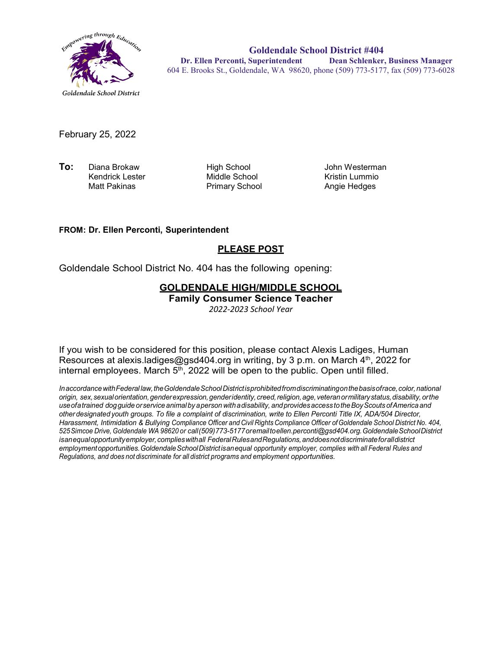

**Goldendale School District #404 Dr. Ellen Perconti, Superintendent Dean Schlenker, Business Manager** 604 E. Brooks St., Goldendale, WA 98620, phone (509) 773-5177, fax (509) 773-6028

February 25, 2022

**To:** Diana Brokaw High School John Westerman Kendrick Lester **Middle School**<br>Matt Pakinas **Middle School** Kristin Lummio

Primary School

#### **FROM: Dr. Ellen Perconti, Superintendent**

#### **PLEASE POST**

Goldendale School District No. 404 has the following opening:

# **GOLDENDALE HIGH/MIDDLE SCHOOL**

**Family Consumer Science Teacher**

*2022-2023 School Year*

If you wish to be considered for this position, please contact Alexis Ladiges, Human Resources at alexis.ladiges@gsd404.org in writing, by 3 p.m. on March 4<sup>th</sup>, 2022 for internal employees. March  $5<sup>th</sup>$ , 2022 will be open to the public. Open until filled.

*InaccordancewithFederal law,theGoldendaleSchoolDistrictisprohibitedfromdiscriminatingonthebasisofrace,color,national origin, sex,sexualorientation,genderexpression,genderidentity, creed,religion,age, veteranormilitarystatus,disability, orthe useofatrained dogguide orservice animal by aperson withadisability, andprovidesaccess totheBoyScouts ofAmerica and other designated youth groups. To file a complaint of discrimination, write to Ellen Perconti Title IX, ADA/504 Director, Harassment, Intimidation & Bullying Compliance Officer and Civil Rights Compliance Officer ofGoldendale School District No. 404, 525Simcoe Drive, Goldendale WA 98620 or call(509)773-5177oremailt[oellen.perconti@gsd404.org.G](mailto:ellen.perconti@gsd404.org)oldendaleSchoolDistrict isanequalopportunityemployer,complieswithall FederalRulesandRegulations,anddoesnotdiscriminateforalldistrict employmentopportunities.GoldendaleSchoolDistrictisanequal opportunity employer, complies with all Federal Rules and Regulations, and does not discriminate for all district programs and employment opportunities.*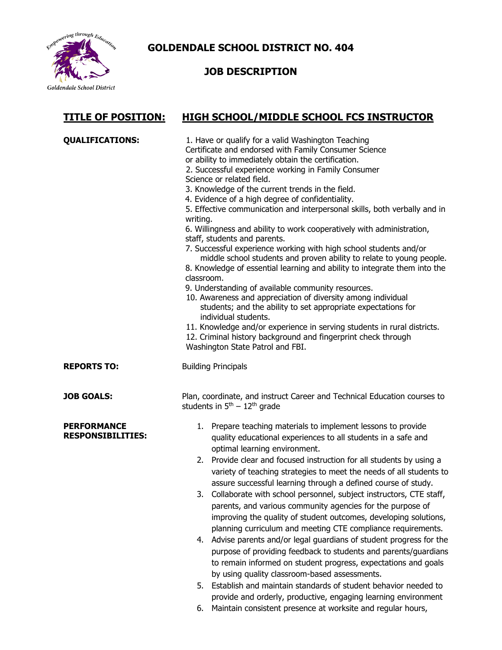

**GOLDENDALE SCHOOL DISTRICT NO. 404**

## **JOB DESCRIPTION**

## **TITLE OF POSITION: HIGH SCHOOL/MIDDLE SCHOOL FCS INSTRUCTOR**

| <b>QUALIFICATIONS:</b>                         | 1. Have or qualify for a valid Washington Teaching<br>Certificate and endorsed with Family Consumer Science<br>or ability to immediately obtain the certification.<br>2. Successful experience working in Family Consumer<br>Science or related field.<br>3. Knowledge of the current trends in the field.<br>4. Evidence of a high degree of confidentiality.<br>5. Effective communication and interpersonal skills, both verbally and in<br>writing.<br>6. Willingness and ability to work cooperatively with administration,<br>staff, students and parents.<br>7. Successful experience working with high school students and/or<br>middle school students and proven ability to relate to young people.<br>8. Knowledge of essential learning and ability to integrate them into the<br>classroom.<br>9. Understanding of available community resources.<br>10. Awareness and appreciation of diversity among individual<br>students; and the ability to set appropriate expectations for<br>individual students.<br>11. Knowledge and/or experience in serving students in rural districts.<br>12. Criminal history background and fingerprint check through<br>Washington State Patrol and FBI. |
|------------------------------------------------|---------------------------------------------------------------------------------------------------------------------------------------------------------------------------------------------------------------------------------------------------------------------------------------------------------------------------------------------------------------------------------------------------------------------------------------------------------------------------------------------------------------------------------------------------------------------------------------------------------------------------------------------------------------------------------------------------------------------------------------------------------------------------------------------------------------------------------------------------------------------------------------------------------------------------------------------------------------------------------------------------------------------------------------------------------------------------------------------------------------------------------------------------------------------------------------------------------|
| <b>REPORTS TO:</b>                             | <b>Building Principals</b>                                                                                                                                                                                                                                                                                                                                                                                                                                                                                                                                                                                                                                                                                                                                                                                                                                                                                                                                                                                                                                                                                                                                                                              |
| <b>JOB GOALS:</b>                              | Plan, coordinate, and instruct Career and Technical Education courses to<br>students in $5th - 12th$ grade                                                                                                                                                                                                                                                                                                                                                                                                                                                                                                                                                                                                                                                                                                                                                                                                                                                                                                                                                                                                                                                                                              |
| <b>PERFORMANCE</b><br><b>RESPONSIBILITIES:</b> | 1. Prepare teaching materials to implement lessons to provide<br>quality educational experiences to all students in a safe and<br>optimal learning environment.<br>2. Provide clear and focused instruction for all students by using a<br>variety of teaching strategies to meet the needs of all students to<br>assure successful learning through a defined course of study.<br>3. Collaborate with school personnel, subject instructors, CTE staff,<br>parents, and various community agencies for the purpose of<br>improving the quality of student outcomes, developing solutions,<br>planning curriculum and meeting CTE compliance requirements.<br>4. Advise parents and/or legal guardians of student progress for the<br>purpose of providing feedback to students and parents/guardians<br>to remain informed on student progress, expectations and goals<br>by using quality classroom-based assessments.<br>Establish and maintain standards of student behavior needed to<br>5.<br>provide and orderly, productive, engaging learning environment<br>Maintain consistent presence at worksite and regular hours,<br>6.                                                                 |